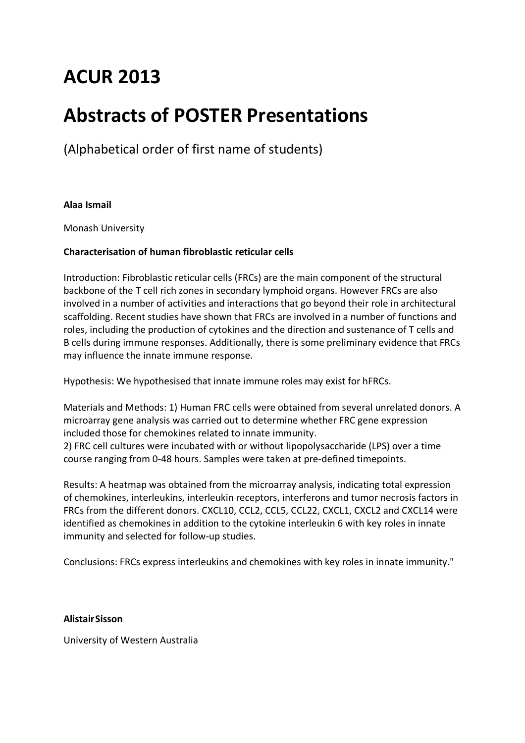# **ACUR 2013**

## **Abstracts of POSTER Presentations**

(Alphabetical order of first name of students)

## **Alaa Ismail**

Monash University

## **Characterisation of human fibroblastic reticular cells**

Introduction: Fibroblastic reticular cells (FRCs) are the main component of the structural backbone of the T cell rich zones in secondary lymphoid organs. However FRCs are also involved in a number of activities and interactions that go beyond their role in architectural scaffolding. Recent studies have shown that FRCs are involved in a number of functions and roles, including the production of cytokines and the direction and sustenance of T cells and B cells during immune responses. Additionally, there is some preliminary evidence that FRCs may influence the innate immune response.

Hypothesis: We hypothesised that innate immune roles may exist for hFRCs.

Materials and Methods: 1) Human FRC cells were obtained from several unrelated donors. A microarray gene analysis was carried out to determine whether FRC gene expression included those for chemokines related to innate immunity.

2) FRC cell cultures were incubated with or without lipopolysaccharide (LPS) over a time course ranging from 0-48 hours. Samples were taken at pre-defined timepoints.

Results: A heatmap was obtained from the microarray analysis, indicating total expression of chemokines, interleukins, interleukin receptors, interferons and tumor necrosis factors in FRCs from the different donors. CXCL10, CCL2, CCL5, CCL22, CXCL1, CXCL2 and CXCL14 were identified as chemokines in addition to the cytokine interleukin 6 with key roles in innate immunity and selected for follow-up studies.

Conclusions: FRCs express interleukins and chemokines with key roles in innate immunity."

## **AlistairSisson**

University of Western Australia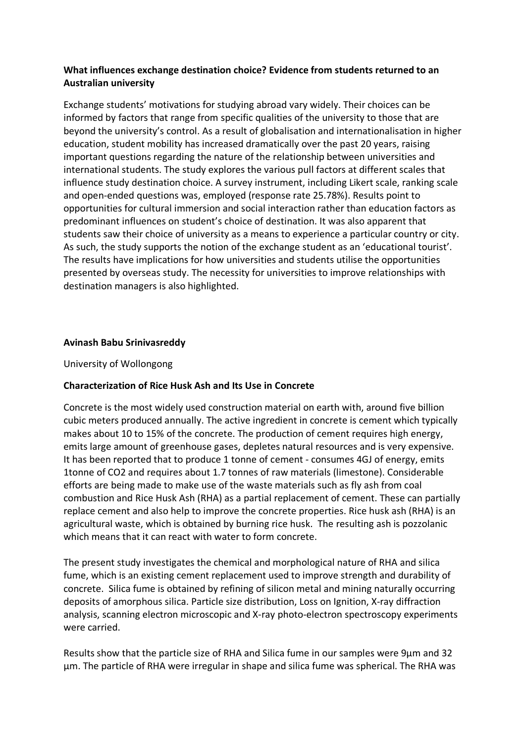## **What influences exchange destination choice? Evidence from students returned to an Australian university**

Exchange students' motivations for studying abroad vary widely. Their choices can be informed by factors that range from specific qualities of the university to those that are beyond the university's control. As a result of globalisation and internationalisation in higher education, student mobility has increased dramatically over the past 20 years, raising important questions regarding the nature of the relationship between universities and international students. The study explores the various pull factors at different scales that influence study destination choice. A survey instrument, including Likert scale, ranking scale and open-ended questions was, employed (response rate 25.78%). Results point to opportunities for cultural immersion and social interaction rather than education factors as predominant influences on student's choice of destination. It was also apparent that students saw their choice of university as a means to experience a particular country or city. As such, the study supports the notion of the exchange student as an 'educational tourist'. The results have implications for how universities and students utilise the opportunities presented by overseas study. The necessity for universities to improve relationships with destination managers is also highlighted.

## **Avinash Babu Srinivasreddy**

University of Wollongong

## **Characterization of Rice Husk Ash and Its Use in Concrete**

Concrete is the most widely used construction material on earth with, around five billion cubic meters produced annually. The active ingredient in concrete is cement which typically makes about 10 to 15% of the concrete. The production of cement requires high energy, emits large amount of greenhouse gases, depletes natural resources and is very expensive. It has been reported that to produce 1 tonne of cement - consumes 4GJ of energy, emits 1tonne of CO2 and requires about 1.7 tonnes of raw materials (limestone). Considerable efforts are being made to make use of the waste materials such as fly ash from coal combustion and Rice Husk Ash (RHA) as a partial replacement of cement. These can partially replace cement and also help to improve the concrete properties. Rice husk ash (RHA) is an agricultural waste, which is obtained by burning rice husk. The resulting ash is pozzolanic which means that it can react with water to form concrete.

The present study investigates the chemical and morphological nature of RHA and silica fume, which is an existing cement replacement used to improve strength and durability of concrete. Silica fume is obtained by refining of silicon metal and mining naturally occurring deposits of amorphous silica. Particle size distribution, Loss on Ignition, X-ray diffraction analysis, scanning electron microscopic and X-ray photo-electron spectroscopy experiments were carried.

Results show that the particle size of RHA and Silica fume in our samples were 9µm and 32 µm. The particle of RHA were irregular in shape and silica fume was spherical. The RHA was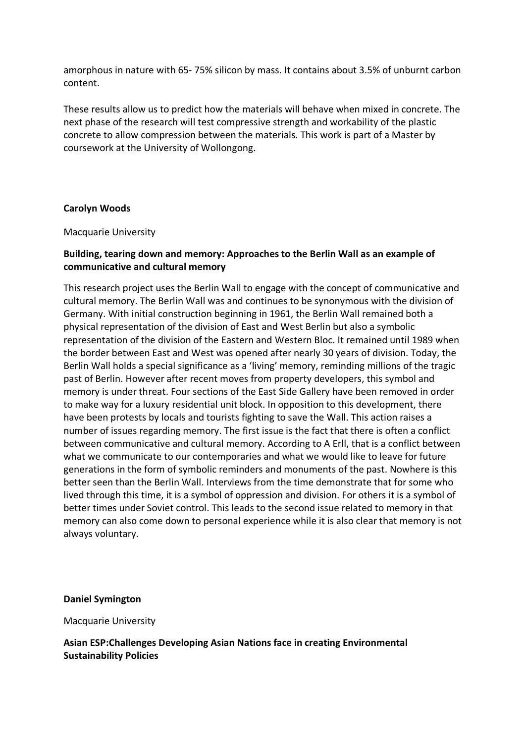amorphous in nature with 65- 75% silicon by mass. It contains about 3.5% of unburnt carbon content.

These results allow us to predict how the materials will behave when mixed in concrete. The next phase of the research will test compressive strength and workability of the plastic concrete to allow compression between the materials. This work is part of a Master by coursework at the University of Wollongong.

## **Carolyn Woods**

#### Macquarie University

## **Building, tearing down and memory: Approaches to the Berlin Wall as an example of communicative and cultural memory**

This research project uses the Berlin Wall to engage with the concept of communicative and cultural memory. The Berlin Wall was and continues to be synonymous with the division of Germany. With initial construction beginning in 1961, the Berlin Wall remained both a physical representation of the division of East and West Berlin but also a symbolic representation of the division of the Eastern and Western Bloc. It remained until 1989 when the border between East and West was opened after nearly 30 years of division. Today, the Berlin Wall holds a special significance as a 'living' memory, reminding millions of the tragic past of Berlin. However after recent moves from property developers, this symbol and memory is under threat. Four sections of the East Side Gallery have been removed in order to make way for a luxury residential unit block. In opposition to this development, there have been protests by locals and tourists fighting to save the Wall. This action raises a number of issues regarding memory. The first issue is the fact that there is often a conflict between communicative and cultural memory. According to A Erll, that is a conflict between what we communicate to our contemporaries and what we would like to leave for future generations in the form of symbolic reminders and monuments of the past. Nowhere is this better seen than the Berlin Wall. Interviews from the time demonstrate that for some who lived through this time, it is a symbol of oppression and division. For others it is a symbol of better times under Soviet control. This leads to the second issue related to memory in that memory can also come down to personal experience while it is also clear that memory is not always voluntary.

## **Daniel Symington**

#### Macquarie University

**Asian ESP:Challenges Developing Asian Nations face in creating Environmental Sustainability Policies**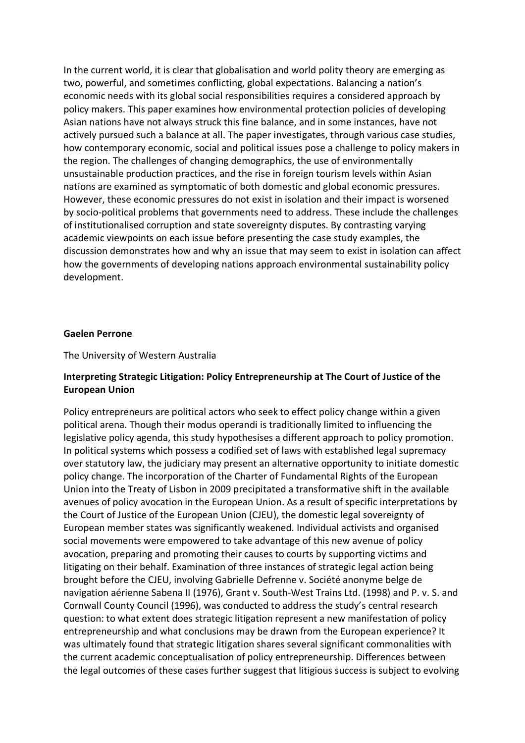In the current world, it is clear that globalisation and world polity theory are emerging as two, powerful, and sometimes conflicting, global expectations. Balancing a nation's economic needs with its global social responsibilities requires a considered approach by policy makers. This paper examines how environmental protection policies of developing Asian nations have not always struck this fine balance, and in some instances, have not actively pursued such a balance at all. The paper investigates, through various case studies, how contemporary economic, social and political issues pose a challenge to policy makers in the region. The challenges of changing demographics, the use of environmentally unsustainable production practices, and the rise in foreign tourism levels within Asian nations are examined as symptomatic of both domestic and global economic pressures. However, these economic pressures do not exist in isolation and their impact is worsened by socio-political problems that governments need to address. These include the challenges of institutionalised corruption and state sovereignty disputes. By contrasting varying academic viewpoints on each issue before presenting the case study examples, the discussion demonstrates how and why an issue that may seem to exist in isolation can affect how the governments of developing nations approach environmental sustainability policy development.

#### **Gaelen Perrone**

#### The University of Western Australia

## **Interpreting Strategic Litigation: Policy Entrepreneurship at The Court of Justice of the European Union**

Policy entrepreneurs are political actors who seek to effect policy change within a given political arena. Though their modus operandi is traditionally limited to influencing the legislative policy agenda, this study hypothesises a different approach to policy promotion. In political systems which possess a codified set of laws with established legal supremacy over statutory law, the judiciary may present an alternative opportunity to initiate domestic policy change. The incorporation of the Charter of Fundamental Rights of the European Union into the Treaty of Lisbon in 2009 precipitated a transformative shift in the available avenues of policy avocation in the European Union. As a result of specific interpretations by the Court of Justice of the European Union (CJEU), the domestic legal sovereignty of European member states was significantly weakened. Individual activists and organised social movements were empowered to take advantage of this new avenue of policy avocation, preparing and promoting their causes to courts by supporting victims and litigating on their behalf. Examination of three instances of strategic legal action being brought before the CJEU, involving Gabrielle Defrenne v. Société anonyme belge de navigation aérienne Sabena II (1976), Grant v. South-West Trains Ltd. (1998) and P. v. S. and Cornwall County Council (1996), was conducted to address the study's central research question: to what extent does strategic litigation represent a new manifestation of policy entrepreneurship and what conclusions may be drawn from the European experience? It was ultimately found that strategic litigation shares several significant commonalities with the current academic conceptualisation of policy entrepreneurship. Differences between the legal outcomes of these cases further suggest that litigious success is subject to evolving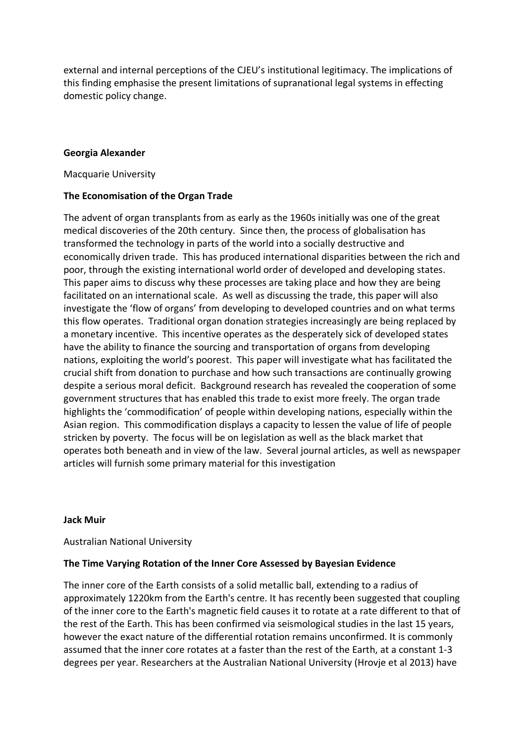external and internal perceptions of the CJEU's institutional legitimacy. The implications of this finding emphasise the present limitations of supranational legal systems in effecting domestic policy change.

## **Georgia Alexander**

Macquarie University

## **The Economisation of the Organ Trade**

The advent of organ transplants from as early as the 1960s initially was one of the great medical discoveries of the 20th century. Since then, the process of globalisation has transformed the technology in parts of the world into a socially destructive and economically driven trade. This has produced international disparities between the rich and poor, through the existing international world order of developed and developing states. This paper aims to discuss why these processes are taking place and how they are being facilitated on an international scale. As well as discussing the trade, this paper will also investigate the 'flow of organs' from developing to developed countries and on what terms this flow operates. Traditional organ donation strategies increasingly are being replaced by a monetary incentive. This incentive operates as the desperately sick of developed states have the ability to finance the sourcing and transportation of organs from developing nations, exploiting the world's poorest. This paper will investigate what has facilitated the crucial shift from donation to purchase and how such transactions are continually growing despite a serious moral deficit. Background research has revealed the cooperation of some government structures that has enabled this trade to exist more freely. The organ trade highlights the 'commodification' of people within developing nations, especially within the Asian region. This commodification displays a capacity to lessen the value of life of people stricken by poverty. The focus will be on legislation as well as the black market that operates both beneath and in view of the law. Several journal articles, as well as newspaper articles will furnish some primary material for this investigation

## **Jack Muir**

Australian National University

## **The Time Varying Rotation of the Inner Core Assessed by Bayesian Evidence**

The inner core of the Earth consists of a solid metallic ball, extending to a radius of approximately 1220km from the Earth's centre. It has recently been suggested that coupling of the inner core to the Earth's magnetic field causes it to rotate at a rate different to that of the rest of the Earth. This has been confirmed via seismological studies in the last 15 years, however the exact nature of the differential rotation remains unconfirmed. It is commonly assumed that the inner core rotates at a faster than the rest of the Earth, at a constant 1-3 degrees per year. Researchers at the Australian National University (Hrovje et al 2013) have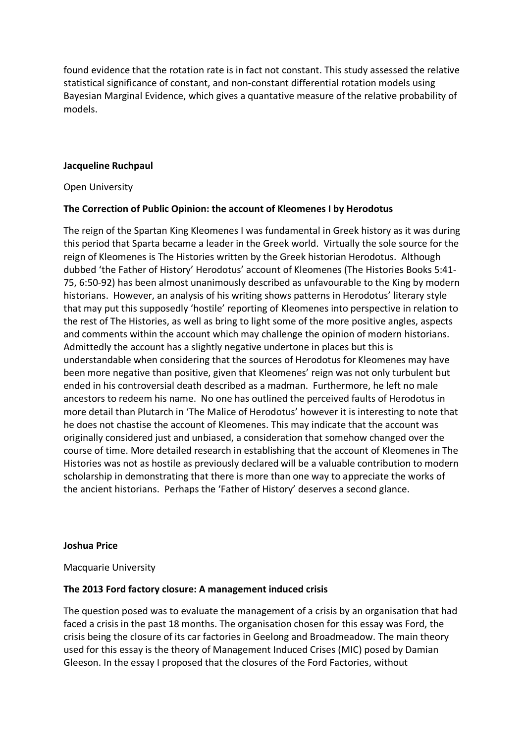found evidence that the rotation rate is in fact not constant. This study assessed the relative statistical significance of constant, and non-constant differential rotation models using Bayesian Marginal Evidence, which gives a quantative measure of the relative probability of models.

## **Jacqueline Ruchpaul**

Open University

## **The Correction of Public Opinion: the account of Kleomenes I by Herodotus**

The reign of the Spartan King Kleomenes I was fundamental in Greek history as it was during this period that Sparta became a leader in the Greek world. Virtually the sole source for the reign of Kleomenes is The Histories written by the Greek historian Herodotus. Although dubbed 'the Father of History' Herodotus' account of Kleomenes (The Histories Books 5:41- 75, 6:50-92) has been almost unanimously described as unfavourable to the King by modern historians. However, an analysis of his writing shows patterns in Herodotus' literary style that may put this supposedly 'hostile' reporting of Kleomenes into perspective in relation to the rest of The Histories, as well as bring to light some of the more positive angles, aspects and comments within the account which may challenge the opinion of modern historians. Admittedly the account has a slightly negative undertone in places but this is understandable when considering that the sources of Herodotus for Kleomenes may have been more negative than positive, given that Kleomenes' reign was not only turbulent but ended in his controversial death described as a madman. Furthermore, he left no male ancestors to redeem his name. No one has outlined the perceived faults of Herodotus in more detail than Plutarch in 'The Malice of Herodotus' however it is interesting to note that he does not chastise the account of Kleomenes. This may indicate that the account was originally considered just and unbiased, a consideration that somehow changed over the course of time. More detailed research in establishing that the account of Kleomenes in The Histories was not as hostile as previously declared will be a valuable contribution to modern scholarship in demonstrating that there is more than one way to appreciate the works of the ancient historians. Perhaps the 'Father of History' deserves a second glance.

## **Joshua Price**

Macquarie University

## **The 2013 Ford factory closure: A management induced crisis**

The question posed was to evaluate the management of a crisis by an organisation that had faced a crisis in the past 18 months. The organisation chosen for this essay was Ford, the crisis being the closure of its car factories in Geelong and Broadmeadow. The main theory used for this essay is the theory of Management Induced Crises (MIC) posed by Damian Gleeson. In the essay I proposed that the closures of the Ford Factories, without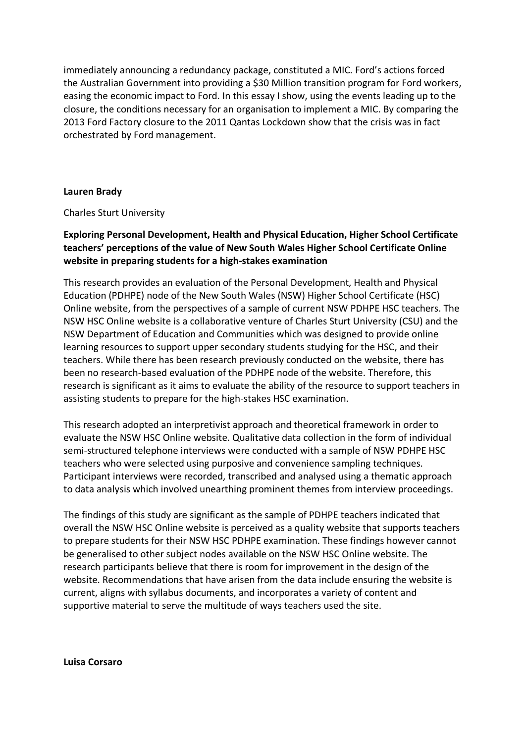immediately announcing a redundancy package, constituted a MIC. Ford's actions forced the Australian Government into providing a \$30 Million transition program for Ford workers, easing the economic impact to Ford. In this essay I show, using the events leading up to the closure, the conditions necessary for an organisation to implement a MIC. By comparing the 2013 Ford Factory closure to the 2011 Qantas Lockdown show that the crisis was in fact orchestrated by Ford management.

## **Lauren Brady**

Charles Sturt University

## **Exploring Personal Development, Health and Physical Education, Higher School Certificate teachers' perceptions of the value of New South Wales Higher School Certificate Online website in preparing students for a high-stakes examination**

This research provides an evaluation of the Personal Development, Health and Physical Education (PDHPE) node of the New South Wales (NSW) Higher School Certificate (HSC) Online website, from the perspectives of a sample of current NSW PDHPE HSC teachers. The NSW HSC Online website is a collaborative venture of Charles Sturt University (CSU) and the NSW Department of Education and Communities which was designed to provide online learning resources to support upper secondary students studying for the HSC, and their teachers. While there has been research previously conducted on the website, there has been no research-based evaluation of the PDHPE node of the website. Therefore, this research is significant as it aims to evaluate the ability of the resource to support teachers in assisting students to prepare for the high-stakes HSC examination.

This research adopted an interpretivist approach and theoretical framework in order to evaluate the NSW HSC Online website. Qualitative data collection in the form of individual semi-structured telephone interviews were conducted with a sample of NSW PDHPE HSC teachers who were selected using purposive and convenience sampling techniques. Participant interviews were recorded, transcribed and analysed using a thematic approach to data analysis which involved unearthing prominent themes from interview proceedings.

The findings of this study are significant as the sample of PDHPE teachers indicated that overall the NSW HSC Online website is perceived as a quality website that supports teachers to prepare students for their NSW HSC PDHPE examination. These findings however cannot be generalised to other subject nodes available on the NSW HSC Online website. The research participants believe that there is room for improvement in the design of the website. Recommendations that have arisen from the data include ensuring the website is current, aligns with syllabus documents, and incorporates a variety of content and supportive material to serve the multitude of ways teachers used the site.

**Luisa Corsaro**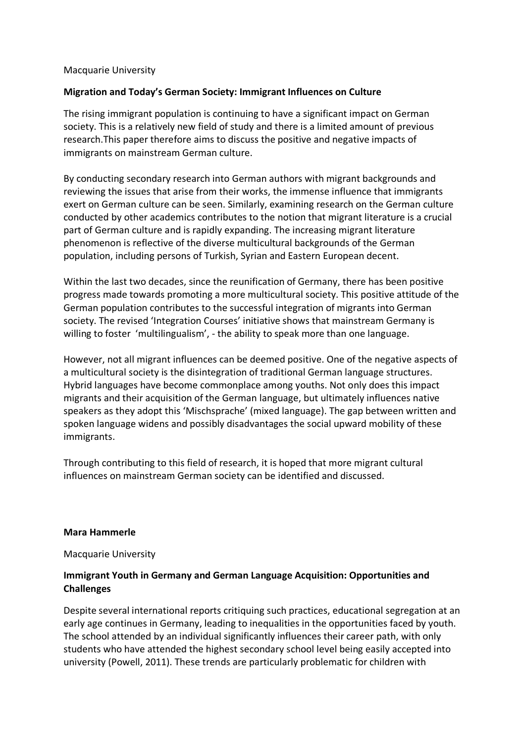## Macquarie University

## **Migration and Today's German Society: Immigrant Influences on Culture**

The rising immigrant population is continuing to have a significant impact on German society. This is a relatively new field of study and there is a limited amount of previous research.This paper therefore aims to discuss the positive and negative impacts of immigrants on mainstream German culture.

By conducting secondary research into German authors with migrant backgrounds and reviewing the issues that arise from their works, the immense influence that immigrants exert on German culture can be seen. Similarly, examining research on the German culture conducted by other academics contributes to the notion that migrant literature is a crucial part of German culture and is rapidly expanding. The increasing migrant literature phenomenon is reflective of the diverse multicultural backgrounds of the German population, including persons of Turkish, Syrian and Eastern European decent.

Within the last two decades, since the reunification of Germany, there has been positive progress made towards promoting a more multicultural society. This positive attitude of the German population contributes to the successful integration of migrants into German society. The revised 'Integration Courses' initiative shows that mainstream Germany is willing to foster 'multilingualism', - the ability to speak more than one language.

However, not all migrant influences can be deemed positive. One of the negative aspects of a multicultural society is the disintegration of traditional German language structures. Hybrid languages have become commonplace among youths. Not only does this impact migrants and their acquisition of the German language, but ultimately influences native speakers as they adopt this 'Mischsprache' (mixed language). The gap between written and spoken language widens and possibly disadvantages the social upward mobility of these immigrants.

Through contributing to this field of research, it is hoped that more migrant cultural influences on mainstream German society can be identified and discussed.

## **Mara Hammerle**

Macquarie University

## **Immigrant Youth in Germany and German Language Acquisition: Opportunities and Challenges**

Despite several international reports critiquing such practices, educational segregation at an early age continues in Germany, leading to inequalities in the opportunities faced by youth. The school attended by an individual significantly influences their career path, with only students who have attended the highest secondary school level being easily accepted into university (Powell, 2011). These trends are particularly problematic for children with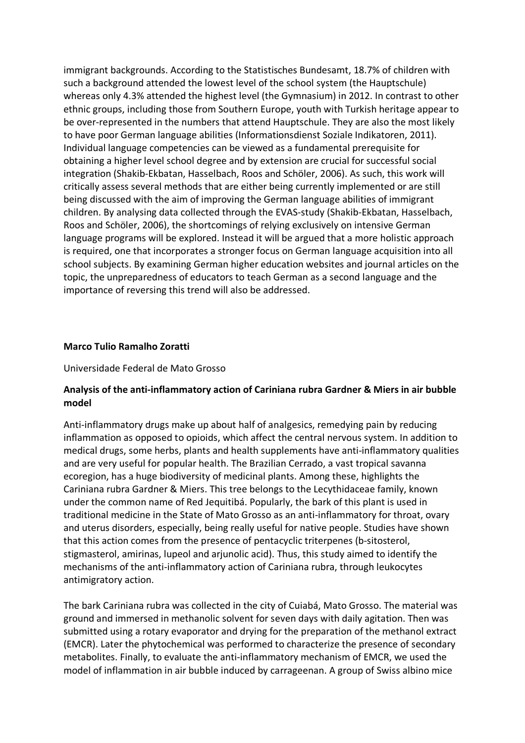immigrant backgrounds. According to the Statistisches Bundesamt, 18.7% of children with such a background attended the lowest level of the school system (the Hauptschule) whereas only 4.3% attended the highest level (the Gymnasium) in 2012. In contrast to other ethnic groups, including those from Southern Europe, youth with Turkish heritage appear to be over-represented in the numbers that attend Hauptschule. They are also the most likely to have poor German language abilities (Informationsdienst Soziale Indikatoren, 2011). Individual language competencies can be viewed as a fundamental prerequisite for obtaining a higher level school degree and by extension are crucial for successful social integration (Shakib-Ekbatan, Hasselbach, Roos and Schöler, 2006). As such, this work will critically assess several methods that are either being currently implemented or are still being discussed with the aim of improving the German language abilities of immigrant children. By analysing data collected through the EVAS-study (Shakib-Ekbatan, Hasselbach, Roos and Schöler, 2006), the shortcomings of relying exclusively on intensive German language programs will be explored. Instead it will be argued that a more holistic approach is required, one that incorporates a stronger focus on German language acquisition into all school subjects. By examining German higher education websites and journal articles on the topic, the unpreparedness of educators to teach German as a second language and the importance of reversing this trend will also be addressed.

#### **Marco Tulio Ramalho Zoratti**

Universidade Federal de Mato Grosso

## **Analysis of the anti-inflammatory action of Cariniana rubra Gardner & Miers in air bubble model**

Anti-inflammatory drugs make up about half of analgesics, remedying pain by reducing inflammation as opposed to opioids, which affect the central nervous system. In addition to medical drugs, some herbs, plants and health supplements have anti-inflammatory qualities and are very useful for popular health. The Brazilian Cerrado, a vast tropical savanna ecoregion, has a huge biodiversity of medicinal plants. Among these, highlights the Cariniana rubra Gardner & Miers. This tree belongs to the Lecythidaceae family, known under the common name of Red Jequitibá. Popularly, the bark of this plant is used in traditional medicine in the State of Mato Grosso as an anti-inflammatory for throat, ovary and uterus disorders, especially, being really useful for native people. Studies have shown that this action comes from the presence of pentacyclic triterpenes (b-sitosterol, stigmasterol, amirinas, lupeol and arjunolic acid). Thus, this study aimed to identify the mechanisms of the anti-inflammatory action of Cariniana rubra, through leukocytes antimigratory action.

The bark Cariniana rubra was collected in the city of Cuiabá, Mato Grosso. The material was ground and immersed in methanolic solvent for seven days with daily agitation. Then was submitted using a rotary evaporator and drying for the preparation of the methanol extract (EMCR). Later the phytochemical was performed to characterize the presence of secondary metabolites. Finally, to evaluate the anti-inflammatory mechanism of EMCR, we used the model of inflammation in air bubble induced by carrageenan. A group of Swiss albino mice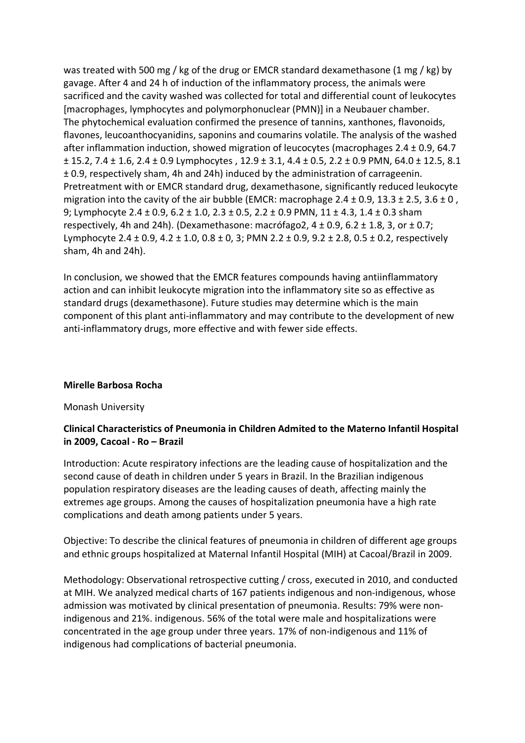was treated with 500 mg / kg of the drug or EMCR standard dexamethasone (1 mg / kg) by gavage. After 4 and 24 h of induction of the inflammatory process, the animals were sacrificed and the cavity washed was collected for total and differential count of leukocytes [macrophages, lymphocytes and polymorphonuclear (PMN)] in a Neubauer chamber. The phytochemical evaluation confirmed the presence of tannins, xanthones, flavonoids, flavones, leucoanthocyanidins, saponins and coumarins volatile. The analysis of the washed after inflammation induction, showed migration of leucocytes (macrophages 2.4 ± 0.9, 64.7 ± 15.2, 7.4 ± 1.6, 2.4 ± 0.9 Lymphocytes , 12.9 ± 3.1, 4.4 ± 0.5, 2.2 ± 0.9 PMN, 64.0 ± 12.5, 8.1 ± 0.9, respectively sham, 4h and 24h) induced by the administration of carrageenin. Pretreatment with or EMCR standard drug, dexamethasone, significantly reduced leukocyte migration into the cavity of the air bubble (EMCR: macrophage 2.4  $\pm$  0.9, 13.3  $\pm$  2.5, 3.6  $\pm$  0, 9; Lymphocyte 2.4 ± 0.9, 6.2 ± 1.0, 2.3 ± 0.5, 2.2 ± 0.9 PMN, 11 ± 4.3, 1.4 ± 0.3 sham respectively, 4h and 24h). (Dexamethasone: macrófago2,  $4 \pm 0.9$ , 6.2  $\pm$  1.8, 3, or  $\pm$  0.7; Lymphocyte 2.4  $\pm$  0.9, 4.2  $\pm$  1.0, 0.8  $\pm$  0, 3; PMN 2.2  $\pm$  0.9, 9.2  $\pm$  2.8, 0.5  $\pm$  0.2, respectively sham, 4h and 24h).

In conclusion, we showed that the EMCR features compounds having antiinflammatory action and can inhibit leukocyte migration into the inflammatory site so as effective as standard drugs (dexamethasone). Future studies may determine which is the main component of this plant anti-inflammatory and may contribute to the development of new anti-inflammatory drugs, more effective and with fewer side effects.

## **Mirelle Barbosa Rocha**

## Monash University

## **Clinical Characteristics of Pneumonia in Children Admited to the Materno Infantil Hospital in 2009, Cacoal - Ro – Brazil**

Introduction: Acute respiratory infections are the leading cause of hospitalization and the second cause of death in children under 5 years in Brazil. In the Brazilian indigenous population respiratory diseases are the leading causes of death, affecting mainly the extremes age groups. Among the causes of hospitalization pneumonia have a high rate complications and death among patients under 5 years.

Objective: To describe the clinical features of pneumonia in children of different age groups and ethnic groups hospitalized at Maternal Infantil Hospital (MIH) at Cacoal/Brazil in 2009.

Methodology: Observational retrospective cutting / cross, executed in 2010, and conducted at MIH. We analyzed medical charts of 167 patients indigenous and non-indigenous, whose admission was motivated by clinical presentation of pneumonia. Results: 79% were nonindigenous and 21%. indigenous. 56% of the total were male and hospitalizations were concentrated in the age group under three years. 17% of non-indigenous and 11% of indigenous had complications of bacterial pneumonia.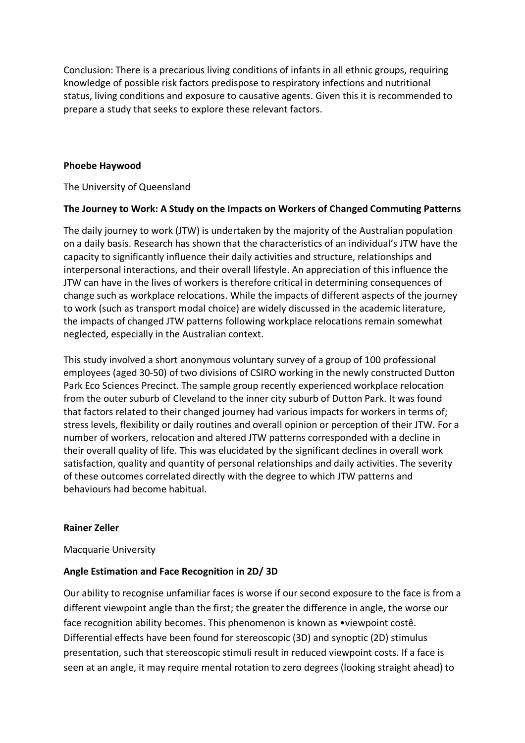Conclusion: There is a precarious living conditions of infants in all ethnic groups, requiring knowledge of possible risk factors predispose to respiratory infections and nutritional status, living conditions and exposure to causative agents. Given this it is recommended to prepare a study that seeks to explore these relevant factors.

## **Phoebe Haywood**

The University of Queensland

## **The Journey to Work: A Study on the Impacts on Workers of Changed Commuting Patterns**

The daily journey to work (JTW) is undertaken by the majority of the Australian population on a daily basis. Research has shown that the characteristics of an individual's JTW have the capacity to significantly influence their daily activities and structure, relationships and interpersonal interactions, and their overall lifestyle. An appreciation of this influence the JTW can have in the lives of workers is therefore critical in determining consequences of change such as workplace relocations. While the impacts of different aspects of the journey to work (such as transport modal choice) are widely discussed in the academic literature, the impacts of changed JTW patterns following workplace relocations remain somewhat neglected, especially in the Australian context.

This study involved a short anonymous voluntary survey of a group of 100 professional employees (aged 30-50) of two divisions of CSIRO working in the newly constructed Dutton Park Eco Sciences Precinct. The sample group recently experienced workplace relocation from the outer suburb of Cleveland to the inner city suburb of Dutton Park. It was found that factors related to their changed journey had various impacts for workers in terms of; stress levels, flexibility or daily routines and overall opinion or perception of their JTW. For a number of workers, relocation and altered JTW patterns corresponded with a decline in their overall quality of life. This was elucidated by the significant declines in overall work satisfaction, quality and quantity of personal relationships and daily activities. The severity of these outcomes correlated directly with the degree to which JTW patterns and behaviours had become habitual.

#### **Rainer Zeller**

Macquarie University

## **Angle Estimation and Face Recognition in 2D/ 3D**

Our ability to recognise unfamiliar faces is worse if our second exposure to the face is from a different viewpoint angle than the first; the greater the difference in angle, the worse our face recognition ability becomes. This phenomenon is known as •viewpoint costê. Differential effects have been found for stereoscopic (3D) and synoptic (2D) stimulus presentation, such that stereoscopic stimuli result in reduced viewpoint costs. If a face is seen at an angle, it may require mental rotation to zero degrees (looking straight ahead) to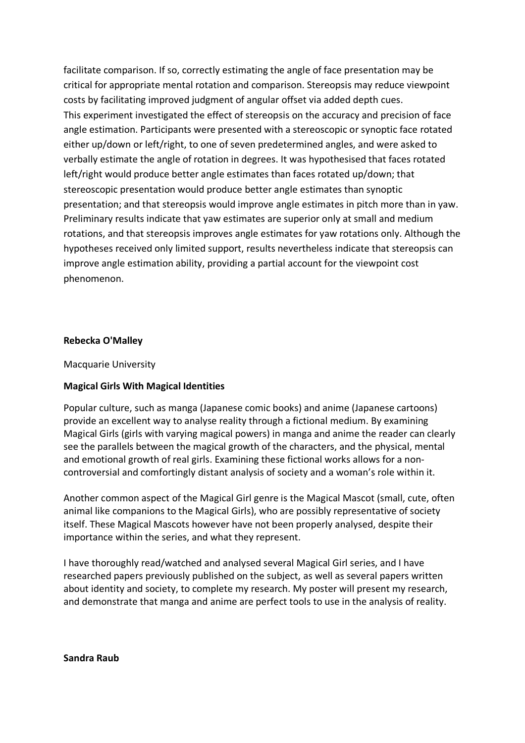facilitate comparison. If so, correctly estimating the angle of face presentation may be critical for appropriate mental rotation and comparison. Stereopsis may reduce viewpoint costs by facilitating improved judgment of angular offset via added depth cues. This experiment investigated the effect of stereopsis on the accuracy and precision of face angle estimation. Participants were presented with a stereoscopic or synoptic face rotated either up/down or left/right, to one of seven predetermined angles, and were asked to verbally estimate the angle of rotation in degrees. It was hypothesised that faces rotated left/right would produce better angle estimates than faces rotated up/down; that stereoscopic presentation would produce better angle estimates than synoptic presentation; and that stereopsis would improve angle estimates in pitch more than in yaw. Preliminary results indicate that yaw estimates are superior only at small and medium rotations, and that stereopsis improves angle estimates for yaw rotations only. Although the hypotheses received only limited support, results nevertheless indicate that stereopsis can improve angle estimation ability, providing a partial account for the viewpoint cost phenomenon.

## **Rebecka O'Malley**

Macquarie University

## **Magical Girls With Magical Identities**

Popular culture, such as manga (Japanese comic books) and anime (Japanese cartoons) provide an excellent way to analyse reality through a fictional medium. By examining Magical Girls (girls with varying magical powers) in manga and anime the reader can clearly see the parallels between the magical growth of the characters, and the physical, mental and emotional growth of real girls. Examining these fictional works allows for a noncontroversial and comfortingly distant analysis of society and a woman's role within it.

Another common aspect of the Magical Girl genre is the Magical Mascot (small, cute, often animal like companions to the Magical Girls), who are possibly representative of society itself. These Magical Mascots however have not been properly analysed, despite their importance within the series, and what they represent.

I have thoroughly read/watched and analysed several Magical Girl series, and I have researched papers previously published on the subject, as well as several papers written about identity and society, to complete my research. My poster will present my research, and demonstrate that manga and anime are perfect tools to use in the analysis of reality.

**Sandra Raub**